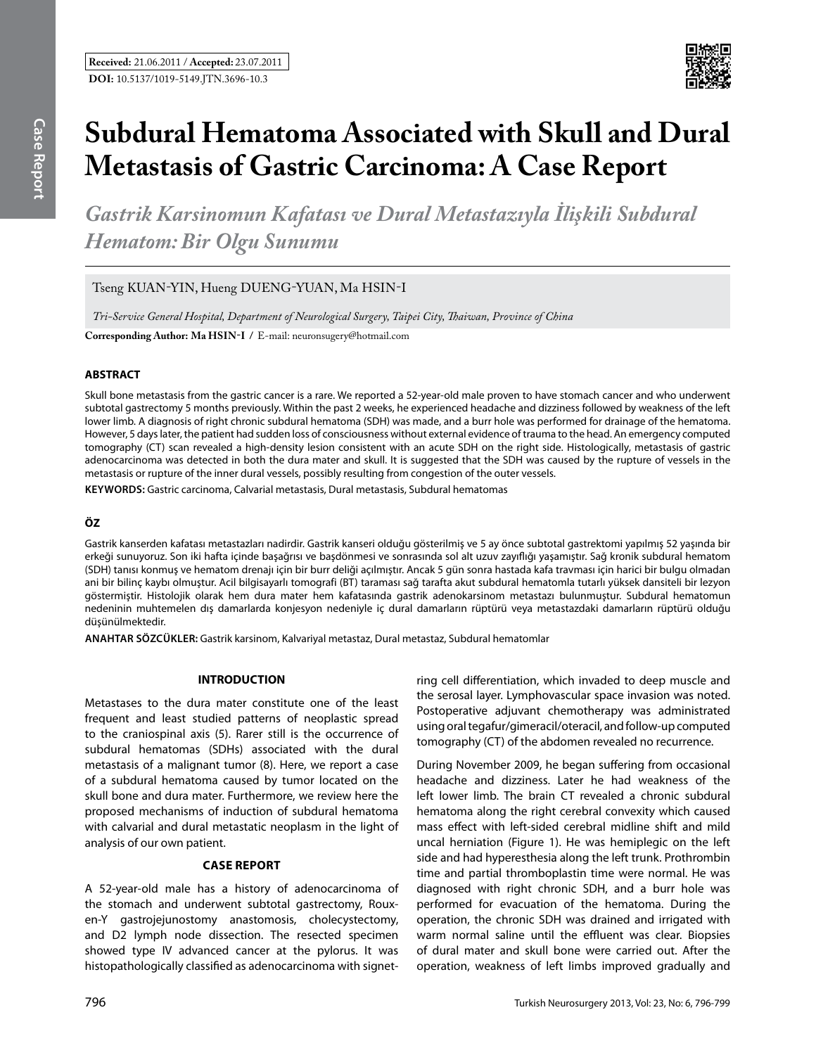

# **Subdural Hematoma Associated with Skull and Dural Metastasis of Gastric Carcinoma: A Case Report**

*Gastrik Karsinomun Kafatası ve Dural Metastazıyla İlişkili Subdural Hematom: Bir Olgu Sunumu*

Tseng KUAN-YIN, Hueng DUENG-YUAN, Ma HSIN-I

*Tri-Service General Hospital, Department of Neurological Surgery, Taipei City, Thaiwan, Province of China*

**Corresponding Author: Ma Hsın-I /** E-mail: neuronsugery@hotmail.com

# **ABSTRACT**

Skull bone metastasis from the gastric cancer is a rare. We reported a 52-year-old male proven to have stomach cancer and who underwent subtotal gastrectomy 5 months previously. Within the past 2 weeks, he experienced headache and dizziness followed by weakness of the left lower limb. A diagnosis of right chronic subdural hematoma (SDH) was made, and a burr hole was performed for drainage of the hematoma. However, 5 days later, the patient had sudden loss of consciousness without external evidence of trauma to the head. An emergency computed tomography (CT) scan revealed a high-density lesion consistent with an acute SDH on the right side. Histologically, metastasis of gastric adenocarcinoma was detected in both the dura mater and skull. It is suggested that the SDH was caused by the rupture of vessels in the metastasis or rupture of the inner dural vessels, possibly resulting from congestion of the outer vessels.

**Keywords:** Gastric carcinoma, Calvarial metastasis, Dural metastasis, Subdural hematomas

# **ÖZ**

Gastrik kanserden kafatası metastazları nadirdir. Gastrik kanseri olduğu gösterilmiş ve 5 ay önce subtotal gastrektomi yapılmış 52 yaşında bir erkeği sunuyoruz. Son iki hafta içinde başağrısı ve başdönmesi ve sonrasında sol alt uzuv zayıflığı yaşamıştır. Sağ kronik subdural hematom (SDH) tanısı konmuş ve hematom drenajı için bir burr deliği açılmıştır. Ancak 5 gün sonra hastada kafa travması için harici bir bulgu olmadan ani bir bilinç kaybı olmuştur. Acil bilgisayarlı tomografi (BT) taraması sağ tarafta akut subdural hematomla tutarlı yüksek dansiteli bir lezyon göstermiştir. Histolojik olarak hem dura mater hem kafatasında gastrik adenokarsinom metastazı bulunmuştur. Subdural hematomun nedeninin muhtemelen dış damarlarda konjesyon nedeniyle iç dural damarların rüptürü veya metastazdaki damarların rüptürü olduğu düşünülmektedir.

**ANAHTAR SÖZCÜKLER:** Gastrik karsinom, Kalvariyal metastaz, Dural metastaz, Subdural hematomlar

### **INTRODUCTION**

Metastases to the dura mater constitute one of the least frequent and least studied patterns of neoplastic spread to the craniospinal axis (5). Rarer still is the occurrence of subdural hematomas (SDHs) associated with the dural metastasis of a malignant tumor (8). Here, we report a case of a subdural hematoma caused by tumor located on the skull bone and dura mater. Furthermore, we review here the proposed mechanisms of induction of subdural hematoma with calvarial and dural metastatic neoplasm in the light of analysis of our own patient.

## **Case report**

A 52-year-old male has a history of adenocarcinoma of the stomach and underwent subtotal gastrectomy, Rouxen-Y gastrojejunostomy anastomosis, cholecystectomy, and D2 lymph node dissection. The resected specimen showed type IV advanced cancer at the pylorus. It was histopathologically classified as adenocarcinoma with signetring cell differentiation, which invaded to deep muscle and the serosal layer. Lymphovascular space invasion was noted. Postoperative adjuvant chemotherapy was administrated using oral tegafur/gimeracil/oteracil, and follow-up computed tomography (CT) of the abdomen revealed no recurrence.

During November 2009, he began suffering from occasional headache and dizziness. Later he had weakness of the left lower limb. The brain CT revealed a chronic subdural hematoma along the right cerebral convexity which caused mass effect with left-sided cerebral midline shift and mild uncal herniation (Figure 1). He was hemiplegic on the left side and had hyperesthesia along the left trunk. Prothrombin time and partial thromboplastin time were normal. He was diagnosed with right chronic SDH, and a burr hole was performed for evacuation of the hematoma. During the operation, the chronic SDH was drained and irrigated with warm normal saline until the effluent was clear. Biopsies of dural mater and skull bone were carried out. After the operation, weakness of left limbs improved gradually and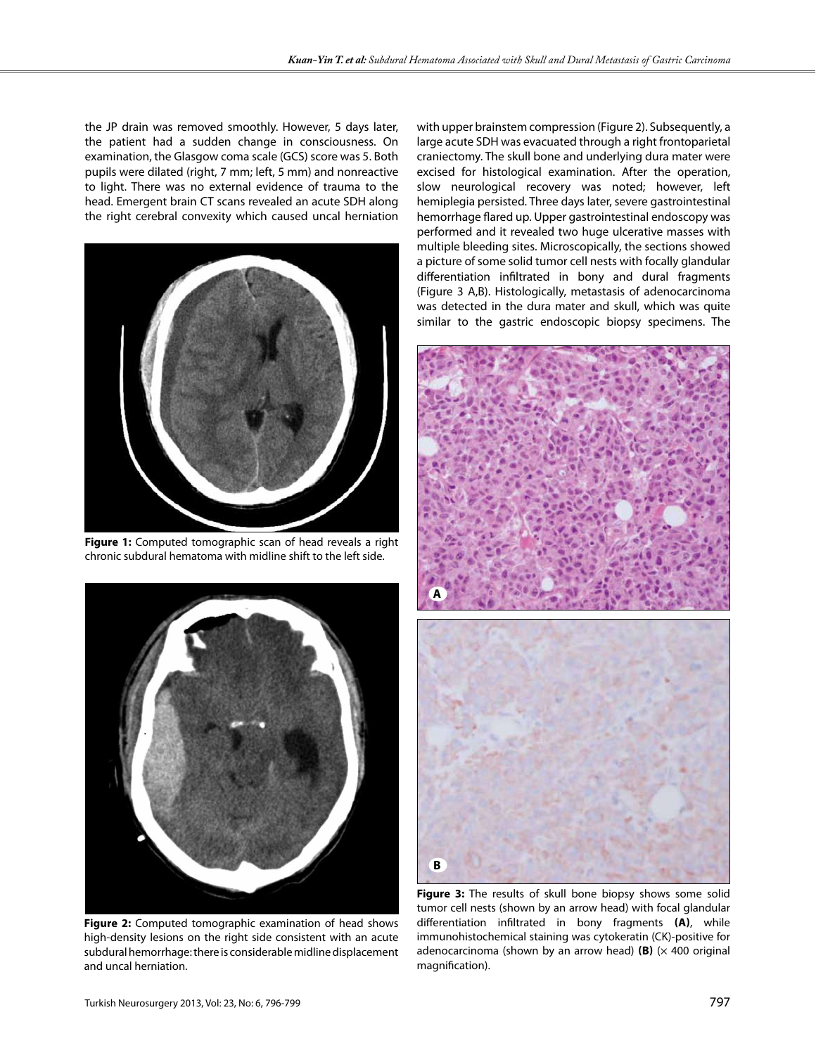the JP drain was removed smoothly. However, 5 days later, the patient had a sudden change in consciousness. On examination, the Glasgow coma scale (GCS) score was 5. Both pupils were dilated (right, 7 mm; left, 5 mm) and nonreactive to light. There was no external evidence of trauma to the head. Emergent brain CT scans revealed an acute SDH along the right cerebral convexity which caused uncal herniation



**Figure 1:** Computed tomographic scan of head reveals a right chronic subdural hematoma with midline shift to the left side.



**Figure 2:** Computed tomographic examination of head shows high-density lesions on the right side consistent with an acute subdural hemorrhage: there is considerable midline displacement and uncal herniation.

with upper brainstem compression (Figure 2). Subsequently, a large acute SDH was evacuated through a right frontoparietal craniectomy. The skull bone and underlying dura mater were excised for histological examination. After the operation, slow neurological recovery was noted; however, left hemiplegia persisted. Three days later, severe gastrointestinal hemorrhage flared up. Upper gastrointestinal endoscopy was performed and it revealed two huge ulcerative masses with multiple bleeding sites. Microscopically, the sections showed a picture of some solid tumor cell nests with focally glandular differentiation infiltrated in bony and dural fragments (Figure 3 A,B). Histologically, metastasis of adenocarcinoma was detected in the dura mater and skull, which was quite similar to the gastric endoscopic biopsy specimens. The



**Figure 3:** The results of skull bone biopsy shows some solid tumor cell nests (shown by an arrow head) with focal glandular differentiation infiltrated in bony fragments **(a)**, while immunohistochemical staining was cytokeratin (CK)-positive for adenocarcinoma (shown by an arrow head)  $(B)$  ( $\times$  400 original magnification).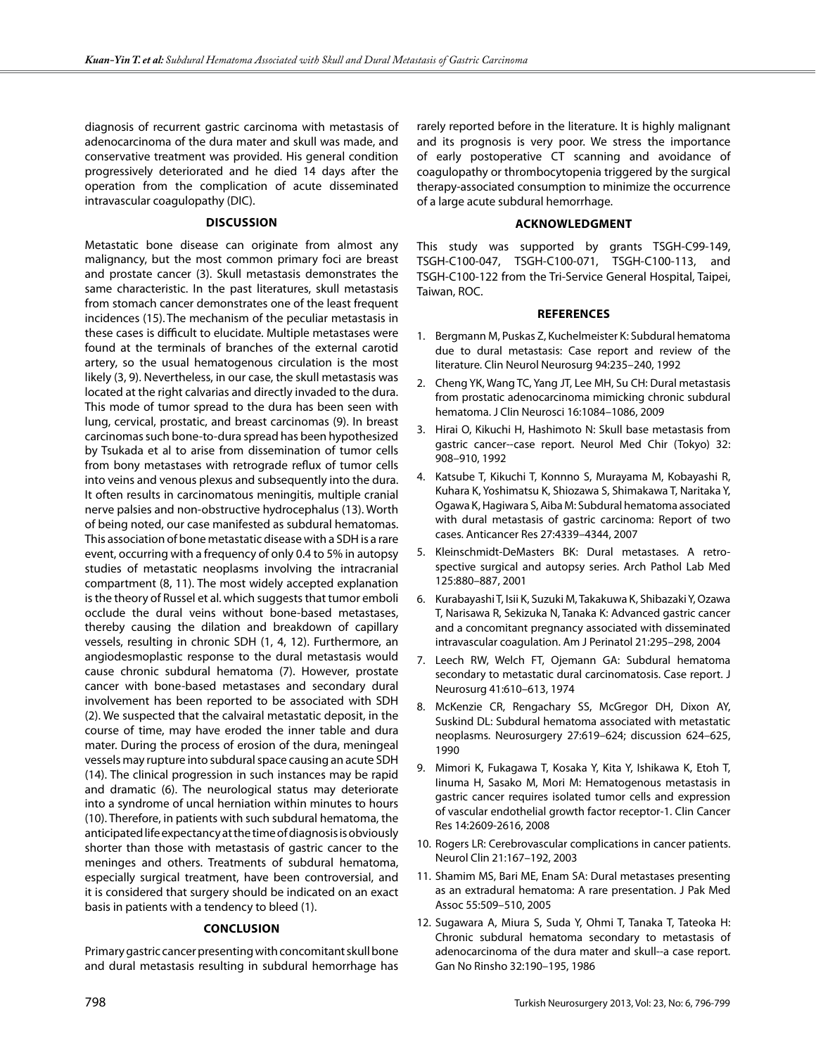diagnosis of recurrent gastric carcinoma with metastasis of adenocarcinoma of the dura mater and skull was made, and conservative treatment was provided. His general condition progressively deteriorated and he died 14 days after the operation from the complication of acute disseminated intravascular coagulopathy (DIC).

#### **Discussion**

Metastatic bone disease can originate from almost any malignancy, but the most common primary foci are breast and prostate cancer (3). Skull metastasis demonstrates the same characteristic. In the past literatures, skull metastasis from stomach cancer demonstrates one of the least frequent incidences (15). The mechanism of the peculiar metastasis in these cases is difficult to elucidate. Multiple metastases were found at the terminals of branches of the external carotid artery, so the usual hematogenous circulation is the most likely (3, 9). Nevertheless, in our case, the skull metastasis was located at the right calvarias and directly invaded to the dura. This mode of tumor spread to the dura has been seen with lung, cervical, prostatic, and breast carcinomas (9). In breast carcinomas such bone-to-dura spread has been hypothesized by Tsukada et al to arise from dissemination of tumor cells from bony metastases with retrograde reflux of tumor cells into veins and venous plexus and subsequently into the dura. It often results in carcinomatous meningitis, multiple cranial nerve palsies and non-obstructive hydrocephalus (13). Worth of being noted, our case manifested as subdural hematomas. This association of bone metastatic disease with a SDH is a rare event, occurring with a frequency of only 0.4 to 5% in autopsy studies of metastatic neoplasms involving the intracranial compartment (8, 11). The most widely accepted explanation is the theory of Russel et al. which suggests that tumor emboli occlude the dural veins without bone-based metastases, thereby causing the dilation and breakdown of capillary vessels, resulting in chronic SDH (1, 4, 12). Furthermore, an angiodesmoplastic response to the dural metastasis would cause chronic subdural hematoma (7). However, prostate cancer with bone-based metastases and secondary dural involvement has been reported to be associated with SDH (2). We suspected that the calvairal metastatic deposit, in the course of time, may have eroded the inner table and dura mater. During the process of erosion of the dura, meningeal vessels may rupture into subdural space causing an acute SDH (14). The clinical progression in such instances may be rapid and dramatic (6). The neurological status may deteriorate into a syndrome of uncal herniation within minutes to hours (10). Therefore, in patients with such subdural hematoma, the anticipated life expectancy at the time of diagnosis is obviously shorter than those with metastasis of gastric cancer to the meninges and others. Treatments of subdural hematoma, especially surgical treatment, have been controversial, and it is considered that surgery should be indicated on an exact basis in patients with a tendency to bleed (1).

#### **Conclusion**

Primary gastric cancer presenting with concomitant skull bone and dural metastasis resulting in subdural hemorrhage has

rarely reported before in the literature. It is highly malignant and its prognosis is very poor. We stress the importance of early postoperative CT scanning and avoidance of coagulopathy or thrombocytopenia triggered by the surgical therapy-associated consumption to minimize the occurrence of a large acute subdural hemorrhage.

#### **Acknowledgment**

This study was supported by grants TSGH-C99-149, TSGH-C100-047, TSGH-C100-071, TSGH-C100-113, and TSGH-C100-122 from the Tri-Service General Hospital, Taipei, Taiwan, ROC.

#### **References**

- 1. Bergmann M, Puskas Z, Kuchelmeister K: Subdural hematoma due to dural metastasis: Case report and review of the literature. Clin Neurol Neurosurg 94:235–240, 1992
- 2. Cheng YK, Wang TC, Yang JT, Lee MH, Su CH: Dural metastasis from prostatic adenocarcinoma mimicking chronic subdural hematoma. J Clin Neurosci 16:1084–1086, 2009
- 3. Hirai O, Kikuchi H, Hashimoto N: Skull base metastasis from gastric cancer--case report. Neurol Med Chir (Tokyo) 32: 908–910, 1992
- 4. Katsube T, Kikuchi T, Konnno S, Murayama M, Kobayashi R, Kuhara K, Yoshimatsu K, Shiozawa S, Shimakawa T, Naritaka Y, Ogawa K, Hagiwara S, Aiba M: Subdural hematoma associated with dural metastasis of gastric carcinoma: Report of two cases. Anticancer Res 27:4339–4344, 2007
- 5. Kleinschmidt-DeMasters BK: Dural metastases. A retrospective surgical and autopsy series. Arch Pathol Lab Med 125:880–887, 2001
- 6. Kurabayashi T, Isii K, Suzuki M, Takakuwa K, Shibazaki Y, Ozawa T, Narisawa R, Sekizuka N, Tanaka K: Advanced gastric cancer and a concomitant pregnancy associated with disseminated intravascular coagulation. Am J Perinatol 21:295–298, 2004
- 7. Leech RW, Welch FT, Ojemann GA: Subdural hematoma secondary to metastatic dural carcinomatosis. Case report. J Neurosurg 41:610–613, 1974
- 8. McKenzie CR, Rengachary SS, McGregor DH, Dixon AY, Suskind DL: Subdural hematoma associated with metastatic neoplasms. Neurosurgery 27:619–624; discussion 624–625, 1990
- 9. Mimori K, Fukagawa T, Kosaka Y, Kita Y, Ishikawa K, Etoh T, Iinuma H, Sasako M, Mori M: Hematogenous metastasis in gastric cancer requires isolated tumor cells and expression of vascular endothelial growth factor receptor-1. Clin Cancer Res 14:2609-2616, 2008
- 10. Rogers LR: Cerebrovascular complications in cancer patients. Neurol Clin 21:167–192, 2003
- 11. Shamim MS, Bari ME, Enam SA: Dural metastases presenting as an extradural hematoma: A rare presentation. J Pak Med Assoc 55:509–510, 2005
- 12. Sugawara A, Miura S, Suda Y, Ohmi T, Tanaka T, Tateoka H: Chronic subdural hematoma secondary to metastasis of adenocarcinoma of the dura mater and skull--a case report. Gan No Rinsho 32:190–195, 1986